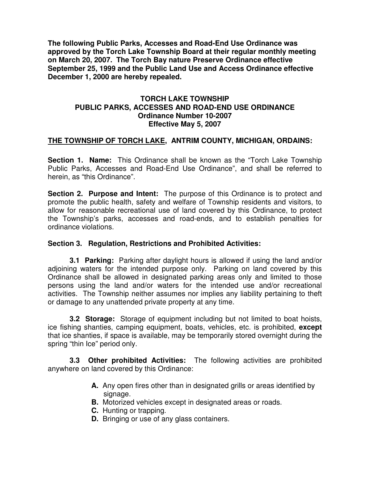**The following Public Parks, Accesses and Road-End Use Ordinance was approved by the Torch Lake Township Board at their regular monthly meeting on March 20, 2007. The Torch Bay nature Preserve Ordinance effective September 25, 1999 and the Public Land Use and Access Ordinance effective December 1, 2000 are hereby repealed.** 

## **TORCH LAKE TOWNSHIP PUBLIC PARKS, ACCESSES AND ROAD-END USE ORDINANCE Ordinance Number 10-2007 Effective May 5, 2007**

## **THE TOWNSHIP OF TORCH LAKE, ANTRIM COUNTY, MICHIGAN, ORDAINS:**

**Section 1. Name:** This Ordinance shall be known as the "Torch Lake Township Public Parks, Accesses and Road-End Use Ordinance", and shall be referred to herein, as "this Ordinance".

**Section 2. Purpose and Intent:** The purpose of this Ordinance is to protect and promote the public health, safety and welfare of Township residents and visitors, to allow for reasonable recreational use of land covered by this Ordinance, to protect the Township's parks, accesses and road-ends, and to establish penalties for ordinance violations.

## **Section 3. Regulation, Restrictions and Prohibited Activities:**

 **3.1 Parking:** Parking after daylight hours is allowed if using the land and/or adjoining waters for the intended purpose only. Parking on land covered by this Ordinance shall be allowed in designated parking areas only and limited to those persons using the land and/or waters for the intended use and/or recreational activities. The Township neither assumes nor implies any liability pertaining to theft or damage to any unattended private property at any time.

**3.2 Storage:** Storage of equipment including but not limited to boat hoists, ice fishing shanties, camping equipment, boats, vehicles, etc. is prohibited, **except** that ice shanties, if space is available, may be temporarily stored overnight during the spring "thin Ice" period only.

**3.3 Other prohibited Activities:** The following activities are prohibited anywhere on land covered by this Ordinance:

- **A.** Any open fires other than in designated grills or areas identified by signage.
- **B.** Motorized vehicles except in designated areas or roads.
- **C.** Hunting or trapping.
- **D.** Bringing or use of any glass containers.